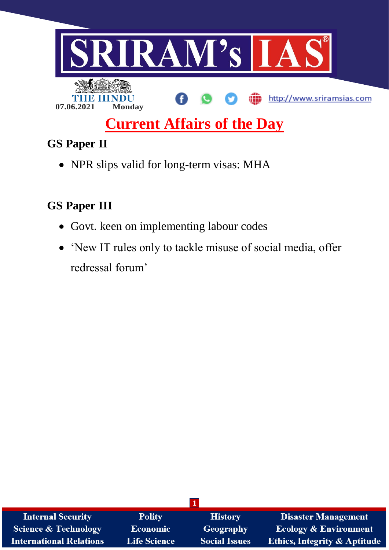

# **Current Affairs of the Day**

## **GS Paper II**

• NPR slips valid for long-term visas: MHA

## **GS Paper III**

- Govt. keen on implementing labour codes
- 'New IT rules only to tackle misuse of social media, offer redressal forum'

| <b>Internal Security</b>        | <b>Polity</b>       | <b>History</b>       | <b>Disaster Management</b>              |
|---------------------------------|---------------------|----------------------|-----------------------------------------|
| <b>Science &amp; Technology</b> | <b>Economic</b>     | Geography            | <b>Ecology &amp; Environment</b>        |
| <b>International Relations</b>  | <b>Life Science</b> | <b>Social Issues</b> | <b>Ethics, Integrity &amp; Aptitude</b> |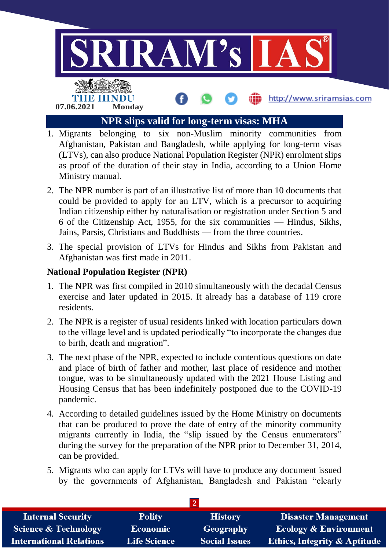

- 1. Migrants belonging to six non-Muslim minority communities from Afghanistan, Pakistan and Bangladesh, while applying for long-term visas (LTVs), can also produce National Population Register (NPR) enrolment slips as proof of the duration of their stay in India, according to a Union Home Ministry manual.
- 2. The NPR number is part of an illustrative list of more than 10 documents that could be provided to apply for an LTV, which is a precursor to acquiring Indian citizenship either by naturalisation or registration under Section 5 and 6 of the Citizenship Act, 1955, for the six communities — Hindus, Sikhs, Jains, Parsis, Christians and Buddhists — from the three countries.
- 3. The special provision of LTVs for Hindus and Sikhs from Pakistan and Afghanistan was first made in 2011.

#### **National Population Register (NPR)**

- 1. The NPR was first compiled in 2010 simultaneously with the decadal Census exercise and later updated in 2015. It already has a database of 119 crore residents.
- 2. The NPR is a register of usual residents linked with location particulars down to the village level and is updated periodically "to incorporate the changes due to birth, death and migration".
- 3. The next phase of the NPR, expected to include contentious questions on date and place of birth of father and mother, last place of residence and mother tongue, was to be simultaneously updated with the 2021 House Listing and Housing Census that has been indefinitely postponed due to the COVID-19 pandemic.
- 4. According to detailed guidelines issued by the Home Ministry on documents that can be produced to prove the date of entry of the minority community migrants currently in India, the "slip issued by the Census enumerators" during the survey for the preparation of the NPR prior to December 31, 2014, can be provided.
- 5. Migrants who can apply for LTVs will have to produce any document issued by the governments of Afghanistan, Bangladesh and Pakistan "clearly

| <b>Internal Security</b>        | <b>Polity</b>       | <b>History</b>       | <b>Disaster Management</b>              |
|---------------------------------|---------------------|----------------------|-----------------------------------------|
| <b>Science &amp; Technology</b> | <b>Economic</b>     | Geography            | <b>Ecology &amp; Environment</b>        |
| <b>International Relations</b>  | <b>Life Science</b> | <b>Social Issues</b> | <b>Ethics, Integrity &amp; Aptitude</b> |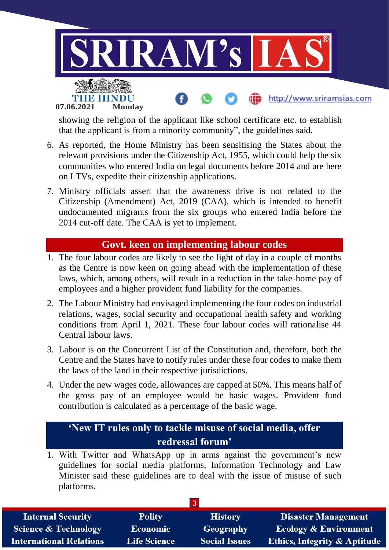

showing the religion of the applicant like school certificate etc. to establish that the applicant is from a minority community", the guidelines said.

- 6. As reported, the Home Ministry has been sensitising the States about the relevant provisions under the Citizenship Act, 1955, which could help the six communities who entered India on legal documents before 2014 and are here on LTVs, expedite their citizenship applications.
- 7. Ministry officials assert that the awareness drive is not related to the Citizenship (Amendment) Act, 2019 (CAA), which is intended to benefit undocumented migrants from the six groups who entered India before the 2014 cut-off date. The CAA is yet to implement.

#### **Govt. keen on implementing labour codes**

- 1. The four labour codes are likely to see the light of day in a couple of months as the Centre is now keen on going ahead with the implementation of these laws, which, among others, will result in a reduction in the take-home pay of employees and a higher provident fund liability for the companies.
- 2. The Labour Ministry had envisaged implementing the four codes on industrial relations, wages, social security and occupational health safety and working conditions from April 1, 2021. These four labour codes will rationalise 44 Central labour laws.
- 3. Labour is on the Concurrent List of the Constitution and, therefore, both the Centre and the States have to notify rules under these four codes to make them the laws of the land in their respective jurisdictions.
- 4. Under the new wages code, allowances are capped at 50%. This means half of the gross pay of an employee would be basic wages. Provident fund contribution is calculated as a percentage of the basic wage.

### **'New IT rules only to tackle misuse of social media, offer redressal forum'**

1. With Twitter and WhatsApp up in arms against the government's new guidelines for social media platforms, Information Technology and Law Minister said these guidelines are to deal with the issue of misuse of such platforms.

| <b>Internal Security</b>        | <b>Polity</b>       | <b>History</b>       | <b>Disaster Management</b>              |
|---------------------------------|---------------------|----------------------|-----------------------------------------|
| <b>Science &amp; Technology</b> | <b>Economic</b>     | Geography            | <b>Ecology &amp; Environment</b>        |
| <b>International Relations</b>  | <b>Life Science</b> | <b>Social Issues</b> | <b>Ethics, Integrity &amp; Aptitude</b> |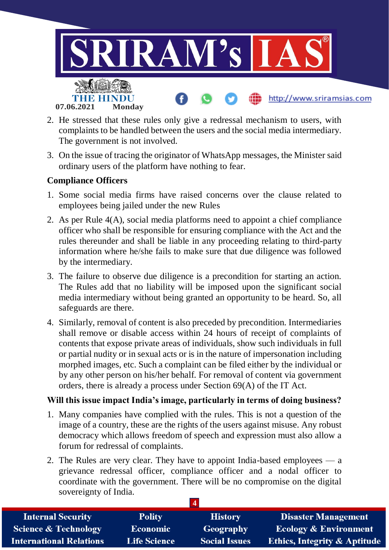

- 2. He stressed that these rules only give a redressal mechanism to users, with complaints to be handled between the users and the social media intermediary. The government is not involved.
- 3. On the issue of tracing the originator of WhatsApp messages, the Minister said ordinary users of the platform have nothing to fear.

#### **Compliance Officers**

- 1. Some social media firms have raised concerns over the clause related to employees being jailed under the new Rules
- 2. As per Rule 4(A), social media platforms need to appoint a chief compliance officer who shall be responsible for ensuring compliance with the Act and the rules thereunder and shall be liable in any proceeding relating to third-party information where he/she fails to make sure that due diligence was followed by the intermediary.
- 3. The failure to observe due diligence is a precondition for starting an action. The Rules add that no liability will be imposed upon the significant social media intermediary without being granted an opportunity to be heard. So, all safeguards are there.
- 4. Similarly, removal of content is also preceded by precondition. Intermediaries shall remove or disable access within 24 hours of receipt of complaints of contents that expose private areas of individuals, show such individuals in full or partial nudity or in sexual acts or is in the nature of impersonation including morphed images, etc. Such a complaint can be filed either by the individual or by any other person on his/her behalf. For removal of content via government orders, there is already a process under Section 69(A) of the IT Act.

#### **Will this issue impact India's image, particularly in terms of doing business?**

- 1. Many companies have complied with the rules. This is not a question of the image of a country, these are the rights of the users against misuse. Any robust democracy which allows freedom of speech and expression must also allow a forum for redressal of complaints.
- 2. The Rules are very clear. They have to appoint India-based employees a grievance redressal officer, compliance officer and a nodal officer to coordinate with the government. There will be no compromise on the digital sovereignty of India.

| <b>Internal Security</b>        | <b>Polity</b>       | <b>History</b>       | <b>Disaster Management</b>              |
|---------------------------------|---------------------|----------------------|-----------------------------------------|
| <b>Science &amp; Technology</b> | <b>Economic</b>     | Geography            | <b>Ecology &amp; Environment</b>        |
| <b>International Relations</b>  | <b>Life Science</b> | <b>Social Issues</b> | <b>Ethics, Integrity &amp; Aptitude</b> |